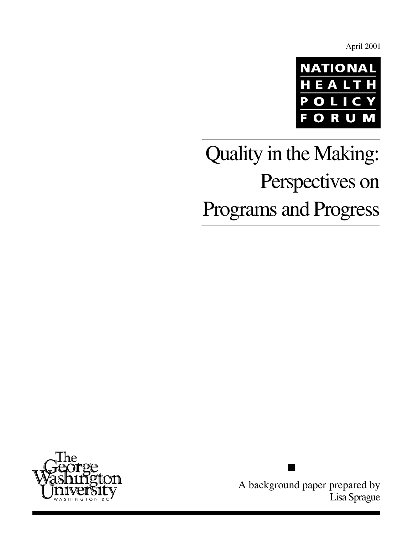April 2001



# Quality in the Making: Perspectives on Programs and Progress



A background paper prepared by Lisa Sprague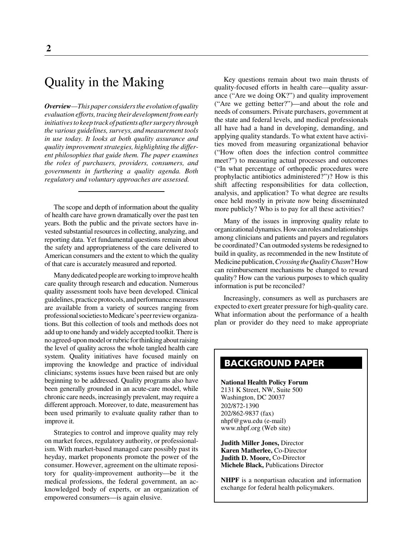## Quality in the Making

*Overview—This paper considers the evolution of quality evaluation efforts, tracing their development from early initiatives to keep track of patients after surgery through the various guidelines, surveys, and measurement tools in use today. It looks at both quality assurance and quality improvement strategies, highlighting the different philosophies that guide them. The paper examines the roles of purchasers, providers, consumers, and governments in furthering a quality agenda. Both regulatory and voluntary approaches are assessed.*

The scope and depth of information about the quality of health care have grown dramatically over the past ten years. Both the public and the private sectors have invested substantial resources in collecting, analyzing, and reporting data. Yet fundamental questions remain about the safety and appropriateness of the care delivered to American consumers and the extent to which the quality of that care is accurately measured and reported.

Many dedicated people are working to improve health care quality through research and education. Numerous quality assessment tools have been developed. Clinical guidelines, practice protocols, and performance measures are available from a variety of sources ranging from professional societies to Medicare's peer review organizations. But this collection of tools and methods does not add up to one handy and widely accepted toolkit. There is no agreed-upon model or rubric for thinking about raising the level of quality across the whole tangled health care system. Quality initiatives have focused mainly on improving the knowledge and practice of individual clinicians; systems issues have been raised but are only beginning to be addressed. Quality programs also have been generally grounded in an acute-care model, while chronic care needs, increasingly prevalent, may require a different approach. Moreover, to date, measurement has been used primarily to evaluate quality rather than to improve it.

Strategies to control and improve quality may rely on market forces, regulatory authority, or professionalism. With market-based managed care possibly past its heyday, market proponents promote the power of the consumer. However, agreement on the ultimate repository for quality-improvement authority—be it the medical professions, the federal government, an acknowledged body of experts, or an organization of empowered consumers—is again elusive.

Key questions remain about two main thrusts of quality-focused efforts in health care—quality assurance ("Are we doing OK?") and quality improvement ("Are we getting better?")—and about the role and needs of consumers. Private purchasers, government at the state and federal levels, and medical professionals all have had a hand in developing, demanding, and applying quality standards. To what extent have activities moved from measuring organizational behavior ("How often does the infection control committee meet?") to measuring actual processes and outcomes ("In what percentage of orthopedic procedures were prophylactic antibiotics administered?")? How is this shift affecting responsibilities for data collection, analysis, and application? To what degree are results once held mostly in private now being disseminated more publicly? Who is to pay for all these activities?

Many of the issues in improving quality relate to organizational dynamics. How can roles and relationships among clinicians and patients and payers and regulators be coordinated? Can outmoded systems be redesigned to build in quality, as recommended in the new Institute of Medicine publication, *Crossing the Quality Chasm*? How can reimbursement mechanisms be changed to reward quality? How can the various purposes to which quality information is put be reconciled?

Increasingly, consumers as well as purchasers are expected to exert greater pressure for high-quality care. What information about the performance of a health plan or provider do they need to make appropriate

### **BACKGROUND PAPER**

**National Health Policy Forum** 2131 K Street, NW, Suite 500 Washington, DC 20037 202/872-1390 202/862-9837 (fax) nhpf@gwu.edu (e-mail) www.nhpf.org (Web site)

**Judith Miller Jones,** Director **Karen Matherlee,** Co-Director **Judith D. Moore,** Co-Director **Michele Black,** Publications Director

**NHPF** is a nonpartisan education and information exchange for federal health policymakers.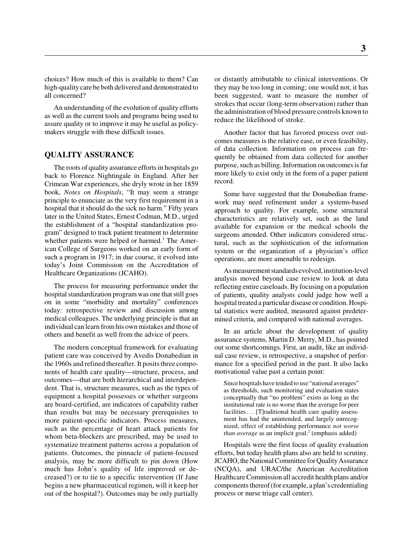choices? How much of this is available to them? Can high-quality care be both delivered and demonstrated to all concerned?

An understanding of the evolution of quality efforts as well as the current tools and programs being used to assure quality or to improve it may be useful as policymakers struggle with these difficult issues.

#### **QUALITY ASSURANCE**

The roots of quality assurance efforts in hospitals go back to Florence Nightingale in England. After her Crimean War experiences, she dryly wrote in her 1859 book, *Notes on Hospitals*, "It may seem a strange principle to enunciate as the very first requirement in a hospital that it should do the sick no harm." Fifty years later in the United States, Ernest Codman, M.D., urged the establishment of a "hospital standardization program" designed to track patient treatment to determine whether patients were helped or harmed.<sup>1</sup> The American College of Surgeons worked on an early form of such a program in 1917; in due course, it evolved into today's Joint Commission on the Accreditation of Healthcare Organizations (JCAHO).

The process for measuring performance under the hospital standardization program was one that still goes on in some "morbidity and mortality" conferences today: retrospective review and discussion among medical colleagues. The underlying principle is that an individual can learn from his own mistakes and those of others and benefit as well from the advice of peers.

The modern conceptual framework for evaluating patient care was conceived by Avedis Donabedian in the 1960s and refined thereafter. It posits three components of health care quality—structure, process, and outcomes—that are both hierarchical and interdependent. That is, structure measures, such as the types of equipment a hospital possesses or whether surgeons are board-certified, are indicators of capability rather than results but may be necessary prerequisites to more patient-specific indicators. Process measures, such as the percentage of heart attack patients for whom beta-blockers are prescribed, may be used to systematize treatment patterns across a population of patients. Outcomes, the pinnacle of patient-focused analysis, may be more difficult to pin down (How much has John's quality of life improved or decreased?) or to tie to a specific intervention (If Jane begins a new pharmaceutical regimen, will it keep her out of the hospital?). Outcomes may be only partially

or distantly attributable to clinical interventions. Or they may be too long in coming; one would not, it has been suggested, want to measure the number of strokes that occur (long-term observation) rather than the administration of blood pressure controls known to reduce the likelihood of stroke.

Another factor that has favored process over outcomes measures is the relative ease, or even feasibility, of data collection. Information on process can frequently be obtained from data collected for another purpose, such as billing. Information on outcomes is far more likely to exist only in the form of a paper patient record.

Some have suggested that the Donabedian framework may need refinement under a systems-based approach to quality. For example, some structural characteristics are relatively set, such as the land available for expansion or the medical schools the surgeons attended. Other indicators considered structural, such as the sophistication of the information system or the organization of a physician's office operations, are more amenable to redesign.

As measurement standards evolved, institution-level analysis moved beyond case review to look at data reflecting entire caseloads. By focusing on a population of patients, quality analysts could judge how well a hospital treated a particular disease or condition. Hospital statistics were audited, measured against predetermined criteria, and compared with national averages.

In an article about the development of quality assurance systems, Martin D. Merry, M.D., has pointed out some shortcomings. First, an audit, like an individual case review, is retrospective, a snapshot of performance for a specified period in the past. It also lacks motivational value past a certain point:

Since hospitals have tended to use "national averages" as thresholds, such monitoring and evaluation states conceptually that "no problem" exists as long as the institutional rate is no worse than the average for peer facilities . . . [T]raditional health care quality assessment has had the unintended, and largely unrecognized, effect of establishing performance *not worse* than average as an implicit goal.<sup>2</sup> (emphasis added)

Hospitals were the first focus of quality evaluation efforts, but today health plans also are held to scrutiny. JCAHO, the National Committee for Quality Assurance (NCQA), and URAC/the American Accreditation Healthcare Commission all accredit health plans and/or components thereof (for example, a plan's credentialing process or nurse triage call center).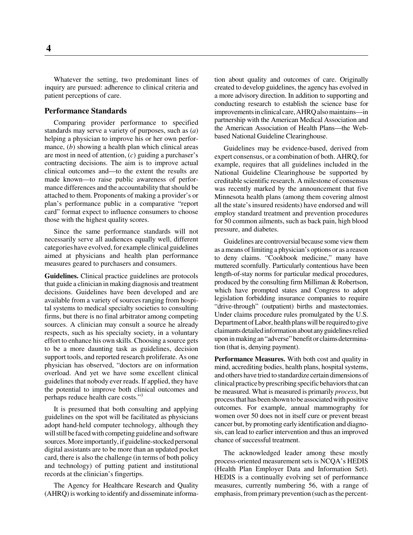Whatever the setting, two predominant lines of inquiry are pursued: adherence to clinical criteria and patient perceptions of care.

#### **Performance Standards**

Comparing provider performance to specified standards may serve a variety of purposes, such as (*a*) helping a physician to improve his or her own performance, (*b*) showing a health plan which clinical areas are most in need of attention, (*c*) guiding a purchaser's contracting decisions. The aim is to improve actual clinical outcomes and—to the extent the results are made known—to raise public awareness of performance differences and the accountability that should be attached to them. Proponents of making a provider's or plan's performance public in a comparative "report card" format expect to influence consumers to choose those with the highest quality scores.

Since the same performance standards will not necessarily serve all audiences equally well, different categories have evolved, for example clinical guidelines aimed at physicians and health plan performance measures geared to purchasers and consumers.

**Guidelines.** Clinical practice guidelines are protocols that guide a clinician in making diagnosis and treatment decisions. Guidelines have been developed and are available from a variety of sources ranging from hospital systems to medical specialty societies to consulting firms, but there is no final arbitrator among competing sources. A clinician may consult a source he already respects, such as his specialty society, in a voluntary effort to enhance his own skills. Choosing a source gets to be a more daunting task as guidelines, decision support tools, and reported research proliferate. As one physician has observed, "doctors are on information overload. And yet we have some excellent clinical guidelines that nobody ever reads. If applied, they have the potential to improve both clinical outcomes and perhaps reduce health care costs."3

It is presumed that both consulting and applying guidelines on the spot will be facilitated as physicians adopt hand-held computer technology, although they will still be faced with competing guideline and software sources. More importantly, if guideline-stocked personal digital assistants are to be more than an updated pocket card, there is also the challenge (in terms of both policy and technology) of putting patient and institutional records at the clinician's fingertips.

The Agency for Healthcare Research and Quality (AHRQ) is working to identify and disseminate information about quality and outcomes of care. Originally created to develop guidelines, the agency has evolved in a more advisory direction. In addition to supporting and conducting research to establish the science base for improvements in clinical care, AHRQ also maintains—in partnership with the American Medical Association and the American Association of Health Plans—the Webbased National Guideline Clearinghouse.

Guidelines may be evidence-based, derived from expert consensus, or a combination of both. AHRQ, for example, requires that all guidelines included in the National Guideline Clearinghouse be supported by creditable scientific research. A milestone of consensus was recently marked by the announcement that five Minnesota health plans (among them covering almost all the state's insured residents) have endorsed and will employ standard treatment and prevention procedures for 50 common ailments, such as back pain, high blood pressure, and diabetes.

Guidelines are controversial because some view them as a means of limiting a physician's options or as a reason to deny claims. "Cookbook medicine," many have muttered scornfully. Particularly contentious have been length-of-stay norms for particular medical procedures, produced by the consulting firm Milliman & Robertson, which have prompted states and Congress to adopt legislation forbidding insurance companies to require "drive-through" (outpatient) births and mastectomies. Under claims procedure rules promulgated by the U.S. Department of Labor, health plans will be required to give claimants detailed information about any guidelines relied upon in making an "adverse" benefit or claims determination (that is, denying payment).

**Performance Measures.** With both cost and quality in mind, accrediting bodies, health plans, hospital systems, and others have tried to standardize certain dimensions of clinical practice by prescribing specific behaviors that can be measured. What is measured is primarily *process*, but process that has been shown to be associated with positive outcomes. For example, annual mammography for women over 50 does not in itself cure or prevent breast cancer but, by promoting early identification and diagnosis, can lead to earlier intervention and thus an improved chance of successful treatment.

The acknowledged leader among these mostly process-oriented measurement sets is NCQA's HEDIS (Health Plan Employer Data and Information Set). HEDIS is a continually evolving set of performance measures, currently numbering 56, with a range of emphasis, from primary prevention (such as the percent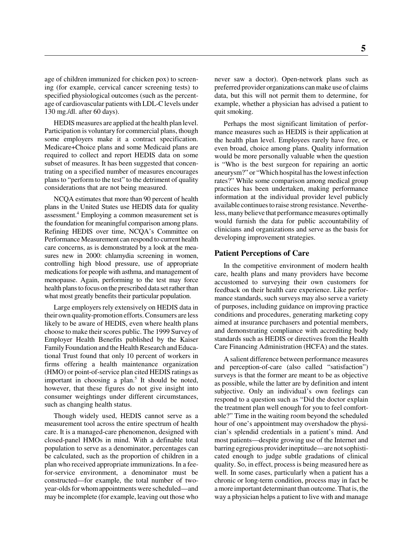age of children immunized for chicken pox) to screening (for example, cervical cancer screening tests) to specified physiological outcomes (such as the percentage of cardiovascular patients with LDL-C levels under 130 mg./dl. after 60 days).

HEDIS measures are applied at the health plan level. Participation is voluntary for commercial plans, though some employers make it a contract specification. Medicare+Choice plans and some Medicaid plans are required to collect and report HEDIS data on some subset of measures. It has been suggested that concentrating on a specified number of measures encourages plans to "perform to the test" to the detriment of quality considerations that are not being measured.

NCQA estimates that more than 90 percent of health plans in the United States use HEDIS data for quality assessment.4 Employing a common measurement set is the foundation for meaningful comparison among plans. Refining HEDIS over time, NCQA's Committee on Performance Measurement can respond to current health care concerns, as is demonstrated by a look at the measures new in 2000: chlamydia screening in women, controlling high blood pressure, use of appropriate medications for people with asthma, and management of menopause. Again, performing to the test may force health plans to focus on the prescribed data set rather than what most greatly benefits their particular population.

Large employers rely extensively on HEDIS data in their own quality-promotion efforts. Consumers are less likely to be aware of HEDIS, even where health plans choose to make their scores public. The 1999 Survey of Employer Health Benefits published by the Kaiser Family Foundation and the Health Research and Educational Trust found that only 10 percent of workers in firms offering a health maintenance organization (HMO) or point-of-service plan cited HEDIS ratings as important in choosing a plan.<sup>5</sup> It should be noted, however, that these figures do not give insight into consumer weightings under different circumstances, such as changing health status.

Though widely used, HEDIS cannot serve as a measurement tool across the entire spectrum of health care. It is a managed-care phenomenon, designed with closed-panel HMOs in mind. With a definable total population to serve as a denominator, percentages can be calculated, such as the proportion of children in a plan who received appropriate immunizations. In a feefor-service environment, a denominator must be constructed—for example, the total number of twoyear-olds for whom appointments were scheduled—and may be incomplete (for example, leaving out those who

never saw a doctor). Open-network plans such as preferred provider organizations can make use of claims data, but this will not permit them to determine, for example, whether a physician has advised a patient to quit smoking.

Perhaps the most significant limitation of performance measures such as HEDIS is their application at the health plan level. Employees rarely have free, or even broad, choice among plans. Quality information would be more personally valuable when the question is "Who is the best surgeon for repairing an aortic aneurysm?" or "Which hospital has the lowest infection rates?" While some comparison among medical group practices has been undertaken, making performance information at the individual provider level publicly available continues to raise strong resistance. Nevertheless, many believe that performance measures optimally would furnish the data for public accountability of clinicians and organizations and serve as the basis for developing improvement strategies.

#### **Patient Perceptions of Care**

In the competitive environment of modern health care, health plans and many providers have become accustomed to surveying their own customers for feedback on their health care experience. Like performance standards, such surveys may also serve a variety of purposes, including guidance on improving practice conditions and procedures, generating marketing copy aimed at insurance purchasers and potential members, and demonstrating compliance with accrediting body standards such as HEDIS or directives from the Health Care Financing Administration (HCFA) and the states.

A salient difference between performance measures and perception-of-care (also called "satisfaction") surveys is that the former are meant to be as objective as possible, while the latter are by definition and intent subjective. Only an individual's own feelings can respond to a question such as "Did the doctor explain the treatment plan well enough for you to feel comfortable?" Time in the waiting room beyond the scheduled hour of one's appointment may overshadow the physician's splendid credentials in a patient's mind. And most patients—despite growing use of the Internet and barring egregious provider ineptitude—are not sophisticated enough to judge subtle gradations of clinical quality. So, in effect, process is being measured here as well. In some cases, particularly when a patient has a chronic or long-term condition, process may in fact be a more important determinant than outcome. That is, the way a physician helps a patient to live with and manage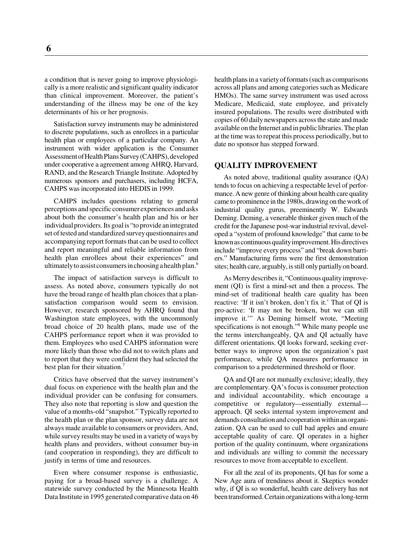a condition that is never going to improve physiologically is a more realistic and significant quality indicator than clinical improvement. Moreover, the patient's understanding of the illness may be one of the key determinants of his or her prognosis.

Satisfaction survey instruments may be administered to discrete populations, such as enrollees in a particular health plan or employees of a particular company. An instrument with wider application is the Consumer Assessment of Health Plans Survey (CAHPS), developed under cooperative a agreement among AHRQ, Harvard, RAND, and the Research Triangle Institute. Adopted by numerous sponsors and purchasers, including HCFA, CAHPS was incorporated into HEDIS in 1999.

CAHPS includes questions relating to general perceptions and specific consumer experiences and asks about both the consumer's health plan and his or her individual providers. Its goal is "to provide an integrated set of tested and standardized survey questionnaires and accompanying report formats that can be used to collect and report meaningful and reliable information from health plan enrollees about their experiences" and ultimately to assist consumers in choosing a health plan.<sup>6</sup>

The impact of satisfaction surveys is difficult to assess. As noted above, consumers typically do not have the broad range of health plan choices that a plansatisfaction comparison would seem to envision. However, research sponsored by AHRQ found that Washington state employees, with the uncommonly broad choice of 20 health plans, made use of the CAHPS performance report when it was provided to them. Employees who used CAHPS information were more likely than those who did not to switch plans and to report that they were confident they had selected the best plan for their situation.<sup>7</sup>

Critics have observed that the survey instrument's dual focus on experience with the health plan and the individual provider can be confusing for consumers. They also note that reporting is slow and question the value of a months-old "snapshot." Typically reported to the health plan or the plan sponsor, survey data are not always made available to consumers or providers. And, while survey results may be used in a variety of ways by health plans and providers, without consumer buy-in (and cooperation in responding), they are difficult to justify in terms of time and resources.

Even where consumer response is enthusiastic, paying for a broad-based survey is a challenge. A statewide survey conducted by the Minnesota Health Data Institute in 1995 generated comparative data on 46 health plans in a variety of formats (such as comparisons across all plans and among categories such as Medicare HMOs). The same survey instrument was used across Medicare, Medicaid, state employee, and privately insured populations. The results were distributed with copies of 60 daily newspapers across the state and made available on the Internet and in public libraries. The plan at the time was to repeat this process periodically, but to date no sponsor has stepped forward.

#### **QUALITY IMPROVEMENT**

As noted above, traditional quality assurance (QA) tends to focus on achieving a respectable level of performance. A new genre of thinking about health care quality came to prominence in the 1980s, drawing on the work of industrial quality gurus, preeminently W. Edwards Deming. Deming, a venerable thinker given much of the credit for the Japanese post-war industrial revival, developed a "system of profound knowledge" that came to be known as continuous quality improvement. His directives include "improve every process" and "break down barriers." Manufacturing firms were the first demonstration sites; health care, arguably, is still only partially on board.

As Merry describes it, "Continuous quality improvement (QI) is first a mind-set and then a process. The mind-set of traditional health care quality has been reactive: 'If it isn't broken, don't fix it.' That of QI is pro-active: 'It may not be broken, but we can still improve it.'" As Deming himself wrote, "Meeting specifications is not enough."<sup>8</sup> While many people use the terms interchangeably, QA and QI actually have different orientations. QI looks forward, seeking everbetter ways to improve upon the organization's past performance, while QA measures performance in comparison to a predetermined threshold or floor.

QA and QI are not mutually exclusive; ideally, they are complementary. QA's focus is consumer protection and individual accountability, which encourage a competitive or regulatory—essentially external approach. QI seeks internal system improvement and demands consultation and cooperation within an organization. QA can be used to cull bad apples and ensure acceptable quality of care. QI operates in a higher portion of the quality continuum, where organizations and individuals are willing to commit the necessary resources to move from acceptable to excellent.

For all the zeal of its proponents, QI has for some a New Age aura of trendiness about it. Skeptics wonder why, if QI is so wonderful, health care delivery has not been transformed. Certain organizations with a long-term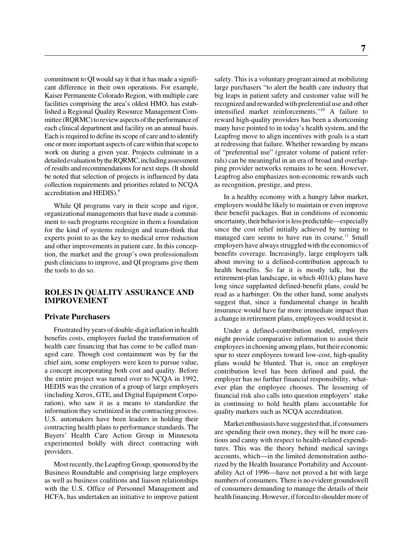commitment to QI would say it that it has made a significant difference in their own operations. For example, Kaiser Permanente Colorado Region, with multiple care facilities comprising the area's oldest HMO, has established a Regional Quality Resource Management Committee (RQRMC) to review aspects of the performance of each clinical department and facility on an annual basis. Each is required to define its scope of care and to identify one or more important aspects of care within that scope to work on during a given year. Projects culminate in a detailed evaluation by the RQRMC, including assessment of results and recommendations for next steps. (It should be noted that selection of projects is influenced by data collection requirements and priorities related to NCQA accreditation and HEDIS).<sup>9</sup>

While QI programs vary in their scope and rigor, organizational managements that have made a commitment to such programs recognize in them a foundation for the kind of systems redesign and team-think that experts point to as the key to medical error reduction and other improvements in patient care. In this conception, the market and the group's own professionalism push clinicians to improve, and QI programs give them the tools to do so.

#### **ROLES IN QUALITY ASSURANCE AND IMPROVEMENT**

#### **Private Purchasers**

Frustrated by years of double-digit inflation in health benefits costs, employers fueled the transformation of health care financing that has come to be called managed care. Though cost containment was by far the chief aim, some employers were keen to pursue value, a concept incorporating both cost and quality. Before the entire project was turned over to NCQA in 1992, HEDIS was the creation of a group of large employers (including Xerox, GTE, and Digital Equipment Corporation), who saw it as a means to standardize the information they scrutinized in the contracting process. U.S. automakers have been leaders in holding their contracting health plans to performance standards. The Buyers' Health Care Action Group in Minnesota experimented boldly with direct contracting with providers.

Most recently, the Leapfrog Group, sponsored by the Business Roundtable and comprising large employers as well as business coalitions and liaison relationships with the U.S. Office of Personnel Management and HCFA, has undertaken an initiative to improve patient

safety. This is a voluntary program aimed at mobilizing large purchasers "to alert the health care industry that big leaps in patient safety and customer value will be recognized and rewarded with preferential use and other intensified market reinforcements."10 A failure to reward high-quality providers has been a shortcoming many have pointed to in today's health system, and the Leapfrog move to align incentives with goals is a start at redressing that failure. Whether rewarding by means of "preferential use" (greater volume of patient referrals) can be meaningful in an era of broad and overlapping provider networks remains to be seen. However, Leapfrog also emphasizes non-economic rewards such as recognition, prestige, and press.

In a healthy economy with a hungry labor market, employers would be likely to maintain or even improve their benefit packages. But in conditions of economic uncertainty, their behavior is less predictable—especially since the cost relief initially achieved by turning to managed care seems to have run its course.<sup>11</sup> Small employers have always struggled with the economics of benefits coverage. Increasingly, large employers talk about moving to a defined-contribution approach to health benefits. So far it is mostly talk, but the retirement-plan landscape, in which 401(k) plans have long since supplanted defined-benefit plans, could be read as a harbinger. On the other hand, some analysts suggest that, since a fundamental change in health insurance would have far more immediate impact than a change in retirement plans, employees would resist it.

Under a defined-contribution model, employers might provide comparative information to assist their employees in choosing among plans, but their economic spur to steer employees toward low-cost, high-quality plans would be blunted. That is, once an employer contribution level has been defined and paid, the employer has no further financial responsibility, whatever plan the employee chooses. The lessening of financial risk also calls into question employers' stake in continuing to hold health plans accountable for quality markers such as NCQA accreditation.

Market enthusiasts have suggested that, if consumers are spending their own money, they will be more cautious and canny with respect to health-related expenditures. This was the theory behind medical savings accounts, which—in the limited demonstration authorized by the Health Insurance Portability and Accountability Act of 1996—have not proved a hit with large numbers of consumers. There is no evident groundswell of consumers demanding to manage the details of their health financing. However, if forced to shoulder more of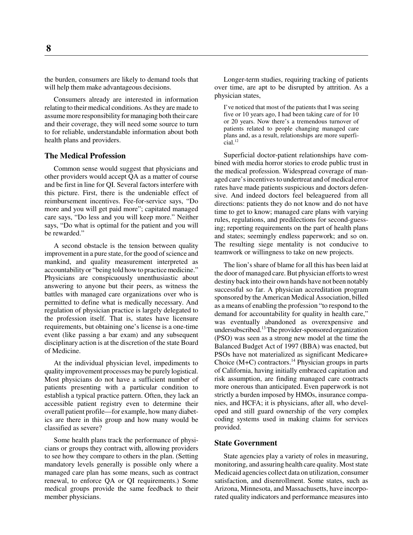the burden, consumers are likely to demand tools that will help them make advantageous decisions.

Consumers already are interested in information relating to their medical conditions. As they are made to assume more responsibility for managing both their care and their coverage, they will need some source to turn to for reliable, understandable information about both health plans and providers.

#### **The Medical Profession**

Common sense would suggest that physicians and other providers would accept QA as a matter of course and be first in line for QI. Several factors interfere with this picture. First, there is the undeniable effect of reimbursement incentives. Fee-for-service says, "Do more and you will get paid more"; capitated managed care says, "Do less and you will keep more." Neither says, "Do what is optimal for the patient and you will be rewarded."

A second obstacle is the tension between quality improvement in a pure state, for the good of science and mankind, and quality measurement interpreted as accountability or "being told how to practice medicine." Physicians are conspicuously unenthusiastic about answering to anyone but their peers, as witness the battles with managed care organizations over who is permitted to define what is medically necessary. And regulation of physician practice is largely delegated to the profession itself. That is, states have licensure requirements, but obtaining one's license is a one-time event (like passing a bar exam) and any subsequent disciplinary action is at the discretion of the state Board of Medicine.

At the individual physician level, impediments to quality improvement processes may be purely logistical. Most physicians do not have a sufficient number of patients presenting with a particular condition to establish a typical practice pattern. Often, they lack an accessible patient registry even to determine their overall patient profile—for example, how many diabetics are there in this group and how many would be classified as severe?

Some health plans track the performance of physicians or groups they contract with, allowing providers to see how they compare to others in the plan. (Setting mandatory levels generally is possible only where a managed care plan has some means, such as contract renewal, to enforce QA or QI requirements.) Some medical groups provide the same feedback to their member physicians.

Longer-term studies, requiring tracking of patients over time, are apt to be disrupted by attrition. As a physician states,

I've noticed that most of the patients that I was seeing five or 10 years ago, I had been taking care of for 10 or 20 years. Now there's a tremendous turnover of patients related to people changing managed care plans and, as a result, relationships are more superficial.<sup>12</sup>

Superficial doctor-patient relationships have combined with media horror stories to erode public trust in the medical profession. Widespread coverage of managed care's incentives to undertreat and of medical error rates have made patients suspicious and doctors defensive. And indeed doctors feel beleaguered from all directions: patients they do not know and do not have time to get to know; managed care plans with varying rules, regulations, and predilections for second-guessing; reporting requirements on the part of health plans and states; seemingly endless paperwork; and so on. The resulting siege mentality is not conducive to teamwork or willingness to take on new projects.

The lion's share of blame for all this has been laid at the door of managed care. But physician efforts to wrest destiny back into their own hands have not been notably successful so far. A physician accreditation program sponsored by the American Medical Association, billed as a means of enabling the profession "to respond to the demand for accountability for quality in health care," was eventually abandoned as overexpensive and undersubscribed.13 The provider-sponsored organization (PSO) was seen as a strong new model at the time the Balanced Budget Act of 1997 (BBA) was enacted, but PSOs have not materialized as significant Medicare+ Choice  $(M+C)$  contractors.<sup>14</sup> Physician groups in parts of California, having initially embraced capitation and risk assumption, are finding managed care contracts more onerous than anticipated. Even paperwork is not strictly a burden imposed by HMOs, insurance companies, and HCFA; it is physicians, after all, who developed and still guard ownership of the very complex coding systems used in making claims for services provided.

#### **State Government**

State agencies play a variety of roles in measuring, monitoring, and assuring health care quality. Most state Medicaid agencies collect data on utilization, consumer satisfaction, and disenrollment. Some states, such as Arizona, Minnesota, and Massachusetts, have incorporated quality indicators and performance measures into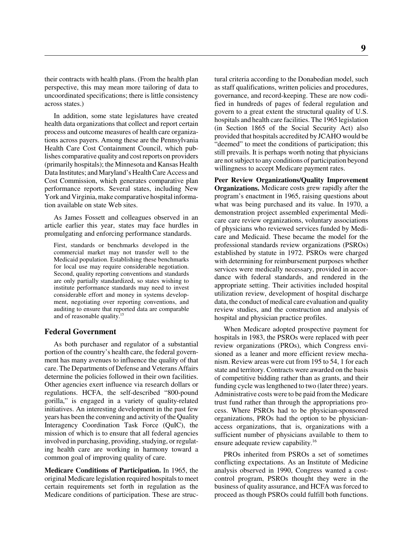their contracts with health plans. (From the health plan perspective, this may mean more tailoring of data to uncoordinated specifications; there is little consistency across states.)

In addition, some state legislatures have created health data organizations that collect and report certain process and outcome measures of health care organizations across payers. Among these are the Pennsylvania Health Care Cost Containment Council, which publishes comparative quality and cost reports on providers (primarily hospitals); the Minnesota and Kansas Health Data Institutes; and Maryland's Health Care Access and Cost Commission, which generates comparative plan performance reports. Several states, including New York and Virginia, make comparative hospital information available on state Web sites.

As James Fossett and colleagues observed in an article earlier this year, states may face hurdles in promulgating and enforcing performance standards.

First, standards or benchmarks developed in the commercial market may not transfer well to the Medicaid population. Establishing these benchmarks for local use may require considerable negotiation. Second, quality reporting conventions and standards are only partially standardized, so states wishing to institute performance standards may need to invest considerable effort and money in systems development, negotiating over reporting conventions, and auditing to ensure that reported data are comparable and of reasonable quality.15

#### **Federal Government**

As both purchaser and regulator of a substantial portion of the country's health care, the federal government has many avenues to influence the quality of that care. The Departments of Defense and Veterans Affairs determine the policies followed in their own facilities. Other agencies exert influence via research dollars or regulations. HCFA, the self-described "800-pound gorilla," is engaged in a variety of quality-related initiatives. An interesting development in the past few years has been the convening and activity of the Quality Interagency Coordination Task Force (QuIC), the mission of which is to ensure that all federal agencies involved in purchasing, providing, studying, or regulating health care are working in harmony toward a common goal of improving quality of care.

**Medicare Conditions of Participation.** In 1965, the original Medicare legislation required hospitals to meet certain requirements set forth in regulation as the Medicare conditions of participation. These are structural criteria according to the Donabedian model, such as staff qualifications, written policies and procedures, governance, and record-keeping. These are now codified in hundreds of pages of federal regulation and govern to a great extent the structural quality of U.S. hospitals and health care facilities. The 1965 legislation (in Section 1865 of the Social Security Act) also provided that hospitals accredited by JCAHO would be "deemed" to meet the conditions of participation; this still prevails. It is perhaps worth noting that physicians are not subject to any conditions of participation beyond willingness to accept Medicare payment rates.

**Peer Review Organizations/Quality Improvement Organizations.** Medicare costs grew rapidly after the program's enactment in 1965, raising questions about what was being purchased and its value. In 1970, a demonstration project assembled experimental Medicare care review organizations, voluntary associations of physicians who reviewed services funded by Medicare and Medicaid. These became the model for the professional standards review organizations (PSROs) established by statute in 1972. PSROs were charged with determining for reimbursement purposes whether services were medically necessary, provided in accordance with federal standards, and rendered in the appropriate setting. Their activities included hospital utilization review, development of hospital discharge data, the conduct of medical care evaluation and quality review studies, and the construction and analysis of hospital and physician practice profiles.

When Medicare adopted prospective payment for hospitals in 1983, the PSROs were replaced with peer review organizations (PROs), which Congress envisioned as a leaner and more efficient review mechanism. Review areas were cut from 195 to 54, 1 for each state and territory. Contracts were awarded on the basis of competitive bidding rather than as grants, and their funding cycle was lengthened to two (later three) years. Administrative costs were to be paid from the Medicare trust fund rather than through the appropriations process. Where PSROs had to be physician-sponsored organizations, PROs had the option to be physicianaccess organizations, that is, organizations with a sufficient number of physicians available to them to ensure adequate review capability.<sup>16</sup>

PROs inherited from PSROs a set of sometimes conflicting expectations. As an Institute of Medicine analysis observed in 1990, Congress wanted a costcontrol program, PSROs thought they were in the business of quality assurance, and HCFA was forced to proceed as though PSROs could fulfill both functions.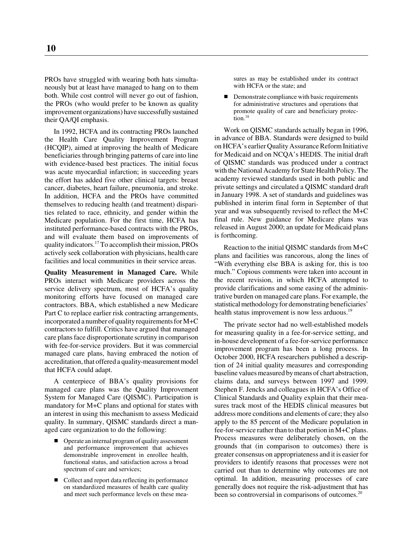PROs have struggled with wearing both hats simultaneously but at least have managed to hang on to them both. While cost control will never go out of fashion, the PROs (who would prefer to be known as quality improvement organizations) have successfully sustained

In 1992, HCFA and its contracting PROs launched the Health Care Quality Improvement Program (HCQIP), aimed at improving the health of Medicare beneficiaries through bringing patterns of care into line with evidence-based best practices. The initial focus was acute myocardial infarction; in succeeding years the effort has added five other clinical targets: breast cancer, diabetes, heart failure, pneumonia, and stroke. In addition, HCFA and the PROs have committed themselves to reducing health (and treatment) disparities related to race, ethnicity, and gender within the Medicare population. For the first time, HCFA has instituted performance-based contracts with the PROs, and will evaluate them based on improvements of quality indicators.17 To accomplish their mission, PROs actively seek collaboration with physicians, health care facilities and local communities in their service areas.

**Quality Measurement in Managed Care.** While PROs interact with Medicare providers across the service delivery spectrum, most of HCFA's quality monitoring efforts have focused on managed care contractors. BBA, which established a new Medicare Part C to replace earlier risk contracting arrangements, incorporated a number of quality requirements for M+C contractors to fulfill. Critics have argued that managed care plans face disproportionate scrutiny in comparison with fee-for-service providers. But it was commercial managed care plans, having embraced the notion of accreditation, that offered a quality-measurement model that HCFA could adapt.

A centerpiece of BBA's quality provisions for managed care plans was the Quality Improvement System for Managed Care (QISMC). Participation is mandatory for M+C plans and optional for states with an interest in using this mechanism to assess Medicaid quality. In summary, QISMC standards direct a managed care organization to do the following:

- $\blacksquare$  Operate an internal program of quality assessment and performance improvement that achieves demonstrable improvement in enrollee health, functional status, and satisfaction across a broad spectrum of care and services;
- $\blacksquare$  Collect and report data reflecting its performance on standardized measures of health care quality and meet such performance levels on these mea-

sures as may be established under its contract with HCFA or the state; and

 $\blacksquare$  Demonstrate compliance with basic requirements for administrative structures and operations that promote quality of care and beneficiary protec- $\bar{\text{tion}}$ .<sup>18</sup>

Work on QISMC standards actually began in 1996, in advance of BBA. Standards were designed to build on HCFA's earlier Quality Assurance Reform Initiative for Medicaid and on NCQA's HEDIS. The initial draft of QISMC standards was produced under a contract with the National Academy for State Health Policy. The academy reviewed standards used in both public and private settings and circulated a QISMC standard draft in January 1998. A set of standards and guidelines was published in interim final form in September of that year and was subsequently revised to reflect the M+C final rule. New guidance for Medicare plans was released in August 2000; an update for Medicaid plans is forthcoming.

Reaction to the initial QISMC standards from M+C plans and facilities was rancorous, along the lines of "With everything else BBA is asking for, this is too much." Copious comments were taken into account in the recent revision, in which HCFA attempted to provide clarifications and some easing of the administrative burden on managed care plans. For example, the statistical methodology for demonstrating beneficiaries' health status improvement is now less arduous.<sup>19</sup>

The private sector had no well-established models for measuring quality in a fee-for-service setting, and in-house development of a fee-for-service performance improvement program has been a long process. In October 2000, HCFA researchers published a description of 24 initial quality measures and corresponding baseline values measured by means of chart abstraction, claims data, and surveys between 1997 and 1999. Stephen F. Jencks and colleagues in HCFA's Office of Clinical Standards and Quality explain that their measures track most of the HEDIS clinical measures but address more conditions and elements of care; they also apply to the 85 percent of the Medicare population in fee-for-service rather than to that portion in M+C plans. Process measures were deliberately chosen, on the grounds that (in comparison to outcomes) there is greater consensus on appropriateness and it is easier for providers to identify reasons that processes were not carried out than to determine why outcomes are not optimal. In addition, measuring processes of care generally does not require the risk-adjustment that has been so controversial in comparisons of outcomes.<sup>20</sup>

their QA/QI emphasis.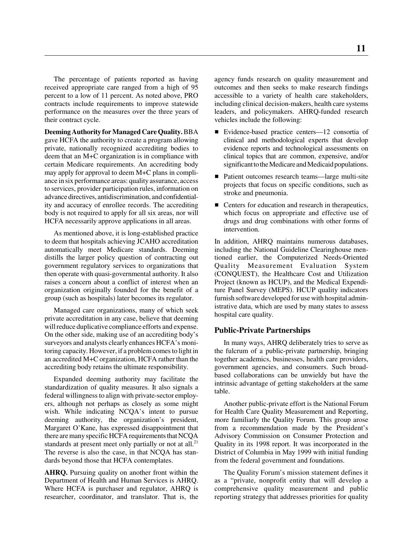The percentage of patients reported as having received appropriate care ranged from a high of 95 percent to a low of 11 percent. As noted above, PRO contracts include requirements to improve statewide performance on the measures over the three years of their contract cycle.

**Deeming Authority for Managed Care Quality.** BBA gave HCFA the authority to create a program allowing private, nationally recognized accrediting bodies to deem that an M+C organization is in compliance with certain Medicare requirements. An accrediting body may apply for approval to deem M+C plans in compliance in six performance areas: quality assurance, access to services, provider participation rules, information on advance directives, antidiscrimination, and confidentiality and accuracy of enrollee records. The accrediting body is not required to apply for all six areas, nor will HCFA necessarily approve applications in all areas.

As mentioned above, it is long-established practice to deem that hospitals achieving JCAHO accreditation automatically meet Medicare standards. Deeming distills the larger policy question of contracting out government regulatory services to organizations that then operate with quasi-governmental authority. It also raises a concern about a conflict of interest when an organization originally founded for the benefit of a group (such as hospitals) later becomes its regulator.

Managed care organizations, many of which seek private accreditation in any case, believe that deeming will reduce duplicative compliance efforts and expense. On the other side, making use of an accrediting body's surveyors and analysts clearly enhances HCFA's monitoring capacity. However, if a problem comes to light in an accredited M+C organization, HCFA rather than the accrediting body retains the ultimate responsibility.

Expanded deeming authority may facilitate the standardization of quality measures. It also signals a federal willingness to align with private-sector employers, although not perhaps as closely as some might wish. While indicating NCQA's intent to pursue deeming authority, the organization's president, Margaret O'Kane, has expressed disappointment that there are many specific HCFA requirements that NCQA standards at present meet only partially or not at all.<sup>21</sup> The reverse is also the case, in that NCQA has standards beyond those that HCFA contemplates.

**AHRQ.** Pursuing quality on another front within the Department of Health and Human Services is AHRQ. Where HCFA is purchaser and regulator, AHRQ is researcher, coordinator, and translator. That is, the agency funds research on quality measurement and outcomes and then seeks to make research findings accessible to a variety of health care stakeholders, including clinical decision-makers, health care systems leaders, and policymakers. AHRQ-funded research vehicles include the following:

- Evidence-based practice centers—12 consortia of clinical and methodological experts that develop evidence reports and technological assessments on clinical topics that are common, expensive, and/or significant to the Medicare and Medicaid populations.
- Patient outcomes research teams—large multi-site projects that focus on specific conditions, such as stroke and pneumonia.
- Centers for education and research in therapeutics, which focus on appropriate and effective use of drugs and drug combinations with other forms of intervention.

In addition, AHRQ maintains numerous databases, including the National Guideline Clearinghouse mentioned earlier, the Computerized Needs-Oriented Quality Measurement Evaluation System (CONQUEST), the Healthcare Cost and Utilization Project (known as HCUP), and the Medical Expenditure Panel Survey (MEPS). HCUP quality indicators furnish software developed for use with hospital administrative data, which are used by many states to assess hospital care quality.

#### **Public-Private Partnerships**

In many ways, AHRQ deliberately tries to serve as the fulcrum of a public-private partnership, bringing together academics, businesses, health care providers, government agencies, and consumers. Such broadbased collaborations can be unwieldy but have the intrinsic advantage of getting stakeholders at the same table.

Another public-private effort is the National Forum for Health Care Quality Measurement and Reporting, more familiarly the Quality Forum. This group arose from a recommendation made by the President's Advisory Commission on Consumer Protection and Quality in its 1998 report. It was incorporated in the District of Columbia in May 1999 with initial funding from the federal government and foundations.

The Quality Forum's mission statement defines it as a "private, nonprofit entity that will develop a comprehensive quality measurement and public reporting strategy that addresses priorities for quality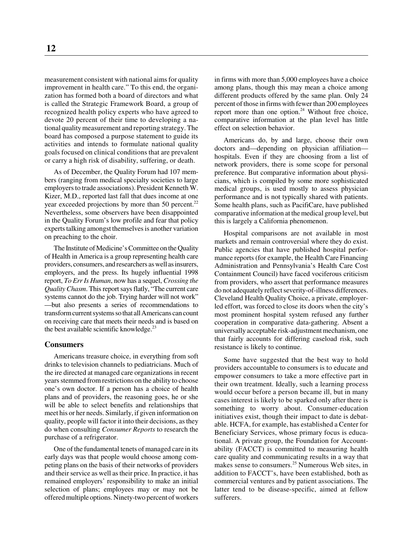measurement consistent with national aims for quality improvement in health care." To this end, the organization has formed both a board of directors and what is called the Strategic Framework Board, a group of recognized health policy experts who have agreed to devote 20 percent of their time to developing a national quality measurement and reporting strategy. The board has composed a purpose statement to guide its activities and intends to formulate national quality goals focused on clinical conditions that are prevalent or carry a high risk of disability, suffering, or death.

As of December, the Quality Forum had 107 members (ranging from medical specialty societies to large employers to trade associations). President Kenneth W. Kizer, M.D., reported last fall that dues income at one year exceeded projections by more than 50 percent.<sup>22</sup> Nevertheless, some observers have been disappointed in the Quality Forum's low profile and fear that policy experts talking amongst themselves is another variation on preaching to the choir.

The Institute of Medicine's Committee on the Quality of Health in America is a group representing health care providers, consumers, and researchers as well as insurers, employers, and the press. Its hugely influential 1998 report, *To Err Is Human*, now has a sequel, *Crossing the Quality Chasm*. This report says flatly, "The current care systems cannot do the job. Trying harder will not work" —but also presents a series of recommendations to transform current systems so that all Americans can count on receiving care that meets their needs and is based on the best available scientific knowledge.<sup>23</sup>

#### **Consumers**

Americans treasure choice, in everything from soft drinks to television channels to pediatricians. Much of the ire directed at managed care organizations in recent years stemmed from restrictions on the ability to choose one's own doctor. If a person has a choice of health plans and of providers, the reasoning goes, he or she will be able to select benefits and relationships that meet his or her needs. Similarly, if given information on quality, people will factor it into their decisions, as they do when consulting *Consumer Reports* to research the purchase of a refrigerator.

One of the fundamental tenets of managed care in its early days was that people would choose among competing plans on the basis of their networks of providers and their service as well as their price. In practice, it has remained employers' responsibility to make an initial selection of plans; employees may or may not be offered multiple options. Ninety-two percent of workers

in firms with more than 5,000 employees have a choice among plans, though this may mean a choice among different products offered by the same plan. Only 24 percent of those in firms with fewer than 200 employees report more than one option. $24$  Without free choice, comparative information at the plan level has little effect on selection behavior.

Americans do, by and large, choose their own doctors and—depending on physician affiliation hospitals. Even if they are choosing from a list of network providers, there is some scope for personal preference. But comparative information about physicians, which is compiled by some more sophisticated medical groups, is used mostly to assess physician performance and is not typically shared with patients. Some health plans, such as PacifiCare, have published comparative information at the medical group level, but this is largely a California phenomenon.

Hospital comparisons are not available in most markets and remain controversial where they do exist. Public agencies that have published hospital performance reports (for example, the Health Care Financing Administration and Pennsylvania's Health Care Cost Containment Council) have faced vociferous criticism from providers, who assert that performance measures do not adequately reflect severity-of-illness differences. Cleveland Health Quality Choice, a private, employerled effort, was forced to close its doors when the city's most prominent hospital system refused any further cooperation in comparative data-gathering. Absent a universally acceptable risk-adjustment mechanism, one that fairly accounts for differing caseload risk, such resistance is likely to continue.

Some have suggested that the best way to hold providers accountable to consumers is to educate and empower consumers to take a more effective part in their own treatment. Ideally, such a learning process would occur before a person became ill, but in many cases interest is likely to be sparked only after there is something to worry about. Consumer-education initiatives exist, though their impact to date is debatable. HCFA, for example, has established a Center for Beneficiary Services, whose primary focus is educational. A private group, the Foundation for Accountability (FACCT) is committed to measuring health care quality and communicating results in a way that makes sense to consumers.<sup>25</sup> Numerous Web sites, in addition to FACCT's, have been established, both as commercial ventures and by patient associations. The latter tend to be disease-specific, aimed at fellow sufferers.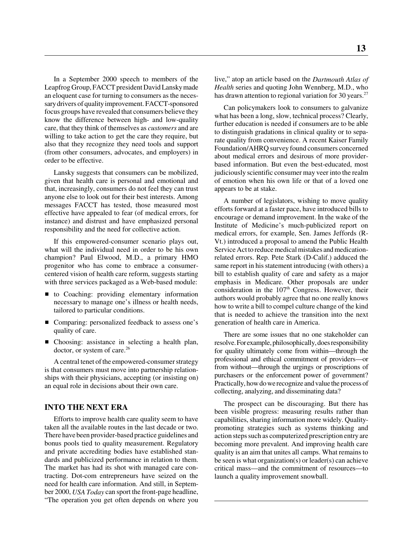In a September 2000 speech to members of the Leapfrog Group, FACCT president David Lansky made an eloquent case for turning to consumers as the necessary drivers of quality improvement. FACCT-sponsored focus groups have revealed that consumers believe they know the difference between high- and low-quality care, that they think of themselves as *customers* and are willing to take action to get the care they require, but also that they recognize they need tools and support (from other consumers, advocates, and employers) in order to be effective.

Lansky suggests that consumers can be mobilized, given that health care is personal and emotional and that, increasingly, consumers do not feel they can trust anyone else to look out for their best interests. Among messages FACCT has tested, those measured most effective have appealed to fear (of medical errors, for instance) and distrust and have emphasized personal responsibility and the need for collective action.

If this empowered-consumer scenario plays out, what will the individual need in order to be his own champion? Paul Elwood, M.D., a primary HMO progenitor who has come to embrace a consumercentered vision of health care reform, suggests starting with three services packaged as a Web-based module:

- to Coaching: providing elementary information necessary to manage one's illness or health needs, tailored to particular conditions.
- Comparing: personalized feedback to assess one's quality of care.
- Choosing: assistance in selecting a health plan, doctor, or system of care.<sup>26</sup>

A central tenet of the empowered-consumer strategy is that consumers must move into partnership relationships with their physicians, accepting (or insisting on) an equal role in decisions about their own care.

#### **INTO THE NEXT ERA**

Efforts to improve health care quality seem to have taken all the available routes in the last decade or two. There have been provider-based practice guidelines and bonus pools tied to quality measurement. Regulatory and private accrediting bodies have established standards and publicized performance in relation to them. The market has had its shot with managed care contracting. Dot-com entrepreneurs have seized on the need for health care information. And still, in September 2000, *USA Today* can sport the front-page headline, "The operation you get often depends on where you live," atop an article based on the *Dartmouth Atlas of Health* series and quoting John Wennberg, M.D., who has drawn attention to regional variation for 30 years.<sup>27</sup>

Can policymakers look to consumers to galvanize what has been a long, slow, technical process? Clearly, further education is needed if consumers are to be able to distinguish gradations in clinical quality or to separate quality from convenience. A recent Kaiser Family Foundation/AHRQ survey found consumers concerned about medical errors and desirous of more providerbased information. But even the best-educated, most judiciously scientific consumer may veer into the realm of emotion when his own life or that of a loved one appears to be at stake.

A number of legislators, wishing to move quality efforts forward at a faster pace, have introduced bills to encourage or demand improvement. In the wake of the Institute of Medicine's much-publicized report on medical errors, for example, Sen. James Jeffords (R-Vt.) introduced a proposal to amend the Public Health Service Act to reduce medical mistakes and medicationrelated errors. Rep. Pete Stark (D-Calif.) adduced the same report in his statement introducing (with others) a bill to establish quality of care and safety as a major emphasis in Medicare. Other proposals are under consideration in the  $107<sup>th</sup>$  Congress. However, their authors would probably agree that no one really knows how to write a bill to compel culture change of the kind that is needed to achieve the transition into the next generation of health care in America.

There are some issues that no one stakeholder can resolve. For example, philosophically, does responsibility for quality ultimately come from within—through the professional and ethical commitment of providers—or from without—through the urgings or proscriptions of purchasers or the enforcement power of government? Practically, how do we recognize and value the process of collecting, analyzing, and disseminating data?

The prospect can be discouraging. But there has been visible progress: measuring results rather than capabilities, sharing information more widely. Qualitypromoting strategies such as systems thinking and action steps such as computerized prescription entry are becoming more prevalent. And improving health care quality is an aim that unites all camps. What remains to be seen is what organization(s) or leader(s) can achieve critical mass—and the commitment of resources—to launch a quality improvement snowball.